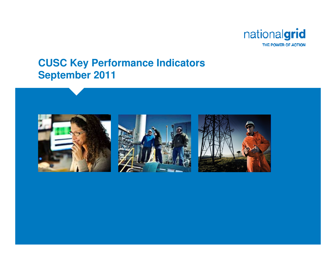

#### **CUSC Key Performance IndicatorsSeptember 2011**





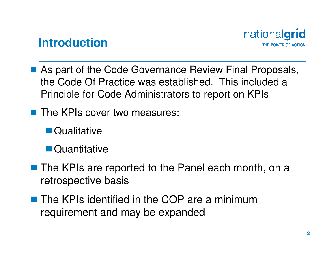

#### **Introduction**

- As part of the Code Governance Review Final Proposals,<br>the Code Of Practice was established. This included a the Code Of Practice was established. This included a Principle for Code Administrators to report on KPIs
- The KPIs cover two measures:
	- **Oualitative**
	- Quantitative
- The KPIs are reported to the Panel each month, on a<br>retrespective basis retrospective basis
- The KPIs identified in the COP are a minimum<br>requirement and may be expanded requirement and may be expanded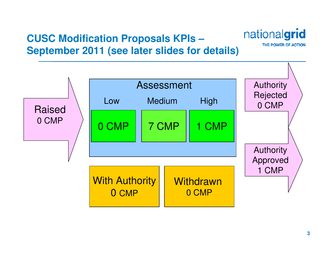## **CUSC Modification Proposals KPIs –September 2011 (see later slides for details)**



nationalgrid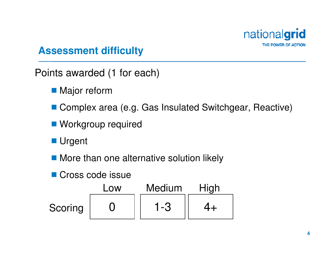

#### **Assessment difficulty**

Points awarded (1 for each)

- **Major reform**
- Complex area (e.g. Gas Insulated Switchgear, Reactive)
- **Norkgroup required**

**Urgent** 

**More than one alternative solution likely** 

Cross code issue

|                | LOW | <b>Medium</b> | High |
|----------------|-----|---------------|------|
| <b>Scoring</b> |     | 1 - 3         |      |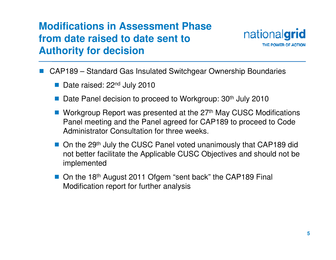

- L. CAP189 – Standard Gas Insulated Switchgear Ownership Boundaries
	- Date raised: 22<sup>nd</sup> July 2010
	- k. Date Panel decision to proceed to Workgroup: 30<sup>th</sup> July 2010
	- Workgroup Report was presented at the 27<sup>th</sup> May CUSC Modifications<br>Ranol mooting and the Panol agrood for CAP189 to preceed to Code Panel meeting and the Panel agreed for CAP189 to proceed to CodeAdministrator Consultation for three weeks.
	- On the 29<sup>th</sup> July the CUSC Panel voted unanimously that CAP189 did not better facilitate the Applicable CUSC Objectives and should not be implemented
	- On the 18<sup>th</sup> August 2011 Ofgem "sent back" the CAP189 Final Modification report for further analysis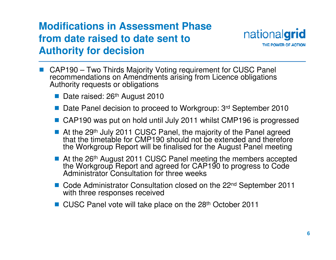

- k. CAP190 – Two Thirds Majority Voting requirement for CUSC Panel recommendations on Amendments arising from Licence obligations Authority requests or obligations
	- Date raised: 26<sup>th</sup> August 2010
	- Date Panel decision to proceed to Workgroup: 3<sup>rd</sup> September 2010
	- CAP190 was put on hold until July 2011 whilst CMP196 is progressed
	- At the 29<sup>th</sup> July 2011 CUSC Panel, the majority of the Panel agreed<br>that the timetable for CMP190 should not be extended and therefore that the timetable for CMP190 should not be extended and therefore the Workgroup Report will be finalised for the August Panel meeting
	- At the 26<sup>th</sup> August 2011 CUSC Panel meeting the members accepted ■ At the 26<sup>th</sup> August 2011 CUSC Panel meeting the members accepted<br>the Workgroup Report and agreed for CAP190 to progress to Code the Workgroup Report and agreed for CAP190 to progress to Code<br>Administrator Consultation for three weeks
	- Code Administrator Consultation closed on the 22<sup>nd</sup> September 2011<br>with three responses received with three responses received
	- CUSC Panel vote will take place on the 28<sup>th</sup> October 2011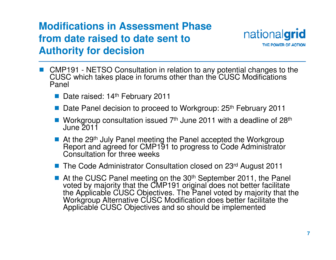

- CMP191 NETSO Consultation in relation to any potential changes to the CUSC which takes place in forums other than the CUSC Modifications CUSC which takes place in forums other than the CUSC Modifications Panel
	- Date raised: 14<sup>th</sup> February 2011
	- Date Panel decision to proceed to Workgroup: 25<sup>th</sup> February 2011
	- Workgroup consultation issued  $7<sup>th</sup>$  June 2011 with a deadline of  $28<sup>th</sup>$ <br>June 2011 June 2011
	- At the 29<sup>th</sup> July Panel meeting the Panel accepted the Workgroup Report and agreed for CMP191 to progress to Code Administrator Consultation for three weeks
	- k. The Code Administrator Consultation closed on 23rd August 2011
	- At the CUSC Panel meeting on the 30<sup>th</sup> September 2011, the Panel<br>voted by majority that the CMP191 original does not better facilitate voted by majority that the CMP191 original does not better facilitate the Applicable CUSC Objectives. The Panel voted by majority that the Workgroup Alternative CUSC Modification does better facilitate the Applicable CUSC Objectives and so should be implemented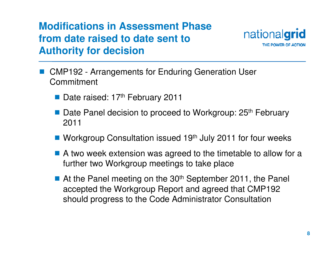

- **Service Service**  CMP192 - Arrangements for Enduring Generation User Commitment
	- Date raised: 17<sup>th</sup> February 2011
	- Date Panel decision to proceed to Workgroup: 25<sup>th</sup> February<br>2011 2011
	- Workgroup Consultation issued 19<sup>th</sup> July 2011 for four weeks
	- A two week extension was agreed to the timetable to allow for a<br>further two Workgroup meetings to take place further two Workgroup meetings to take place
	- At the Panel meeting on the 30<sup>th</sup> September 2011, the Panel<br>accopted the Werkaroun Benet and agreed that CMP192 accepted the Workgroup Report and agreed that CMP192 should progress to the Code Administrator Consultation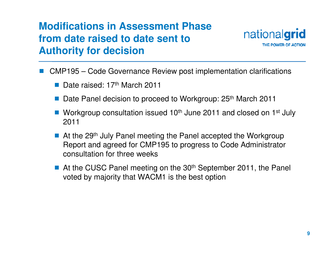

- L. CMP195 – Code Governance Review post implementation clarifications
	- Date raised: 17<sup>th</sup> March 2011
	- Date Panel decision to proceed to Workgroup: 25<sup>th</sup> March 2011
	- Workgroup consultation issued  $10<sup>th</sup>$  June 2011 and closed on 1<sup>st</sup> July 2011 2011
	- At the 29<sup>th</sup> July Panel meeting the Panel accepted the Workgroup<br>Report and agreed for CMP195 to progress to Code Administrator Report and agreed for CMP195 to progress to Code Administrator consultation for three weeks
	- At the CUSC Panel meeting on the 30<sup>th</sup> September 2011, the Panel<br>voted by majority that WACM1 is the bost option voted by majority that WACM1 is the best option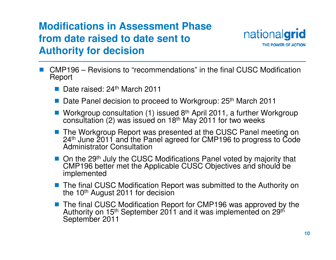

- CMP196 Revisions to "recommendations" in the final CUSC Modification<br>Report Report
	- Date raised: 24<sup>th</sup> March 2011
	- Date Panel decision to proceed to Workgroup: 25<sup>th</sup> March 2011
	- Workgroup consultation (1) issued  $8<sup>th</sup>$  April 2011, a further Workgroup consultation (2) was issued on 18<sup>th</sup> May 2011 for two weeks consultation (2) was issued on 18th May 2011 for two weeks
	- k. The Workgroup Report was presented at the CUSC Panel meeting on 24<sup>th</sup> June 2011 and the Panel agreed for CMP196 to progress to Code<br>Administrator Consultation
	- On the 29<sup>th</sup> July the CUSC Modifications Panel voted by majority that CMP196 better met the Applicable CUSC Objectives and should be CMP196 better met the Applicable CUSC Objectives and should be implemented
	- The final CUSC Modification Report was submitted to the Authority on the 10<sup>th</sup> August 2011 for decision the 10<sup>th</sup> August 2011 for decision
	- The final CUSC Modification Report for CMP196 was approved by the Authority on 15<sup>th</sup> September 2011 and it was implemented on 29<sup>th</sup> Authority on 15<sup>th</sup> September 2011 and it was implemented on 29<sup>th</sup><br>September 2011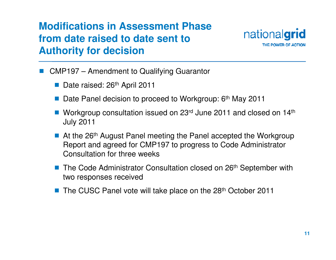

- L. CMP197 – Amendment to Qualifying Guarantor
	- Date raised: 26<sup>th</sup> April 2011
	- k. Date Panel decision to proceed to Workgroup: 6<sup>th</sup> May 2011
	- Workgroup consultation issued on  $23<sup>rd</sup>$  June 2011 and closed on  $14<sup>th</sup>$ <br> July 2011
	- At the 26<sup>th</sup> August Panel meeting the Panel accepted the Workgroup Report and agreed for CMP197 to progress to Code Administrator Consultation for three weeks
	- The Code Administrator Consultation closed on 26<sup>th</sup> September with two respenses received two responses received
	- k. The CUSC Panel vote will take place on the 28<sup>th</sup> October 2011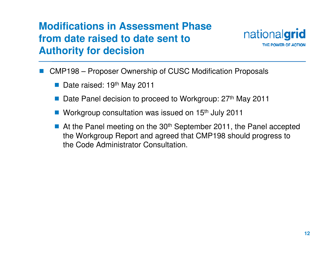

- L. CMP198 – Proposer Ownership of CUSC Modification Proposals
	- Date raised: 19<sup>th</sup> May 2011
	- k. Date Panel decision to proceed to Workgroup: 27<sup>th</sup> May 2011
	- Workgroup consultation was issued on 15<sup>th</sup> July 2011
	- At the Panel meeting on the 30<sup>th</sup> September 2011, the Panel accepted<br>the Werkaroun Pepert and acroed that CMP198 should pregress to the Workgroup Report and agreed that CMP198 should progress to the Code Administrator Consultation.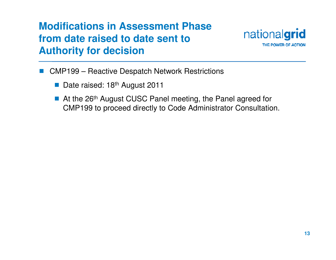

- L. CMP199 – Reactive Despatch Network Restrictions
	- Date raised: 18<sup>th</sup> August 2011
	- At the 26<sup>th</sup> August CUSC Panel meeting, the Panel agreed for<br>CMP199 to preceed directly to Code Administrator Consultation CMP199 to proceed directly to Code Administrator Consultation.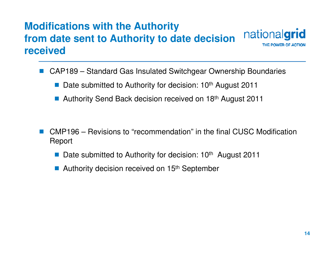#### **Modifications with the Authority** nationalgrid **from date sent to Authority to date decision received**

L. CAP189 – Standard Gas Insulated Switchgear Ownership Boundaries

- Date submitted to Authority for decision: 10<sup>th</sup> August 2011
- Authority Send Back decision received on 18<sup>th</sup> August 2011
- L. CMP196 – Revisions to "recommendation" in the final CUSC Modification Report
	- Date submitted to Authority for decision: 10<sup>th</sup> August 2011
	- Authority decision received on 15<sup>th</sup> September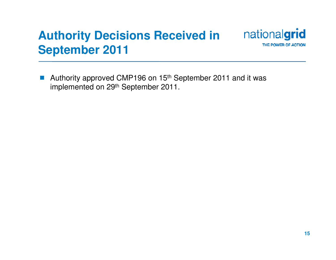#### nationalgrid **Authority Decisions Received in September 2011**

 $\mathbb{R}^n$ Authority approved CMP196 on 15<sup>th</sup> September 2011 and it was implemented on 29<sup>th</sup> September 2011.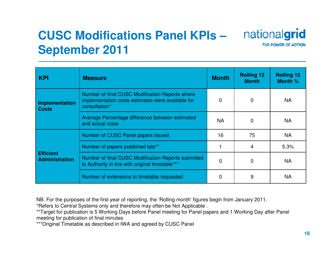# **CUSC Modifications Panel KPIs –September 2011**



| <b>KPI</b>                         | <b>Measure</b>                                                                                                        | <b>Month</b> | <b>Rolling 12</b><br><b>Month</b> | <b>Rolling 12</b><br>Month % |
|------------------------------------|-----------------------------------------------------------------------------------------------------------------------|--------------|-----------------------------------|------------------------------|
| Implementation<br><b>Costs</b>     | Number of final CUSC Modification Reports where<br>implementation costs estimates were available for<br>consultation* | 0            | $\mathbf 0$                       | <b>NA</b>                    |
|                                    | Average Percentage difference between estimated<br>and actual costs                                                   | <b>NA</b>    | 0                                 | <b>NA</b>                    |
| <b>Efficient</b><br>Administration | Number of CUSC Panel papers issued                                                                                    | 16           | 75                                | <b>NA</b>                    |
|                                    | Number of papers published late**                                                                                     |              | 4                                 | 5.3%                         |
|                                    | Number of final CUSC Modification Reports submitted<br>to Authority in line with original timetable***                | 0            | $\Omega$                          | <b>NA</b>                    |
|                                    | Number of extensions to timetable requested                                                                           | 0            | 9                                 | <b>NA</b>                    |

NB. For the purposes of the first year of reporting, the 'Rolling month' figures begin from January 2011.

\*Refers to Central Systems only and therefore may often be Not Applicable .

 \*\*Target for publication is 5 Working Days before Panel meeting for Panel papers and 1 Working Day after Panel meeting for publication of final minutes

\*\*\*Original Timetable as described in IWA and agreed by CUSC Panel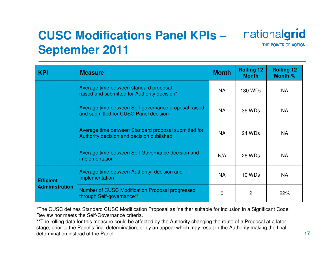# **CUSC Modifications Panel KPIs –September 2011**



| <b>KPI</b>                                | <b>Measure</b>                                                                                    | <b>Month</b> | <b>Rolling 12</b><br><b>Month</b> | <b>Rolling 12</b><br>Month % |
|-------------------------------------------|---------------------------------------------------------------------------------------------------|--------------|-----------------------------------|------------------------------|
|                                           | Average time between standard proposal<br>raised and submitted for Authority decision*            | <b>NA</b>    | 180 WDs                           | <b>NA</b>                    |
|                                           | Average time between Self-governance proposal raised<br>and submitted for CUSC Panel decision     | <b>NA</b>    | 36 WDs                            | <b>NA</b>                    |
|                                           | Average time between Standard proposal submitted for<br>Authority decision and decision published | <b>NA</b>    | 24 WDs                            | <b>NA</b>                    |
|                                           | Average time between Self Governance decision and<br>implementation                               | N/A          | 26 WDs                            | <b>NA</b>                    |
| <b>Efficient</b><br><b>Administration</b> | Average time between Authority decision and<br>Implementation                                     | <b>NA</b>    | 10 WDs                            | <b>NA</b>                    |
|                                           | Number of CUSC Modification Proposal progressed<br>through Self-governance**                      | 0            | 2                                 | 22%                          |

\*The CUSC defines Standard CUSC Modification Proposal as 'neither suitable for inclusion in a Significant Code Review nor meets the Self-Governance criteria.

\*\*The rolling data for this measure could be affected by the Authority changing the route of a Proposal at a later stage, prior to the Panel's final determination, or by an appeal which may result in the Authority making the final determination instead of the Panel.